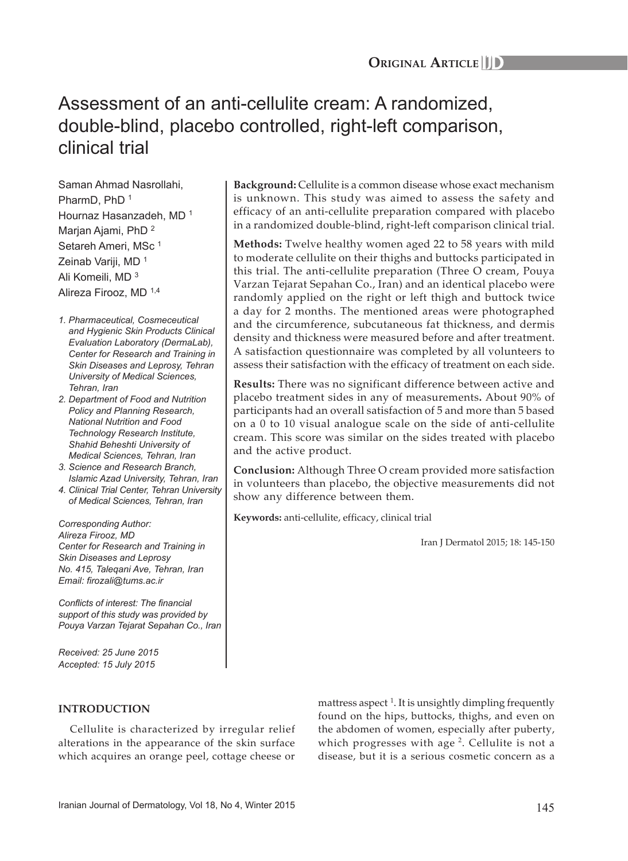# Assessment of an anti-cellulite cream: A randomized, double-blind, placebo controlled, right-left comparison, clinical trial

Saman Ahmad Nasrollahi, PharmD, PhD<sup>1</sup> Hournaz Hasanzadeh, MD <sup>1</sup> Marjan Ajami, PhD <sup>2</sup> Setareh Ameri, MSc<sup>1</sup> Zeinab Variji, MD<sup>1</sup> Ali Komeili, MD <sup>3</sup> Alireza Firooz, MD 1,4

*1. Pharmaceutical, Cosmeceutical and Hygienic Skin Products Clinical Evaluation Laboratory (DermaLab), Center for Research and Training in Skin Diseases and Leprosy, Tehran University of Medical Sciences, Tehran, Iran*

*2. Department of Food and Nutrition Policy and Planning Research, National Nutrition and Food Technology Research Institute, Shahid Beheshti University of Medical Sciences, Tehran, Iran*

- *3. Science and Research Branch, Islamic Azad University, Tehran, Iran*
- *4. Clinical Trial Center, Tehran University of Medical Sciences, Tehran, Iran*

*Corresponding Author: Alireza Firooz, MD Center for Research and Training in Skin Diseases and Leprosy No. 415, Taleqani Ave, Tehran, Iran Email: firozali@tums.ac.ir* 

*Conflicts of interest: The financial support of this study was provided by Pouya Varzan Tejarat Sepahan Co., Iran*

*Received: 25 June 2015 Accepted: 15 July 2015*

# **INTRODUCTION**

Cellulite is characterized by irregular relief alterations in the appearance of the skin surface which acquires an orange peel, cottage cheese or

**Background:** Cellulite is a common disease whose exact mechanism is unknown. This study was aimed to assess the safety and efficacy of an anti-cellulite preparation compared with placebo in a randomized double-blind, right-left comparison clinical trial.

**Methods:** Twelve healthy women aged 22 to 58 years with mild to moderate cellulite on their thighs and buttocks participated in this trial. The anti-cellulite preparation (Three O cream, Pouya Varzan Tejarat Sepahan Co., Iran) and an identical placebo were randomly applied on the right or left thigh and buttock twice a day for 2 months. The mentioned areas were photographed and the circumference, subcutaneous fat thickness, and dermis density and thickness were measured before and after treatment. A satisfaction questionnaire was completed by all volunteers to assess their satisfaction with the efficacy of treatment on each side.

**Results:** There was no significant difference between active and placebo treatment sides in any of measurements**.** About 90% of participants had an overall satisfaction of 5 and more than 5 based on a 0 to 10 visual analogue scale on the side of anti-cellulite cream. This score was similar on the sides treated with placebo and the active product.

**Conclusion:** Although Three O cream provided more satisfaction in volunteers than placebo, the objective measurements did not show any difference between them.

**Keywords:** anti-cellulite, efficacy, clinical trial

Iran J Dermatol 2015; 18: 145-150

mattress aspect<sup>1</sup>. It is unsightly dimpling frequently found on the hips, buttocks, thighs, and even on the abdomen of women, especially after puberty, which progresses with age  $2$ . Cellulite is not a disease, but it is a serious cosmetic concern as a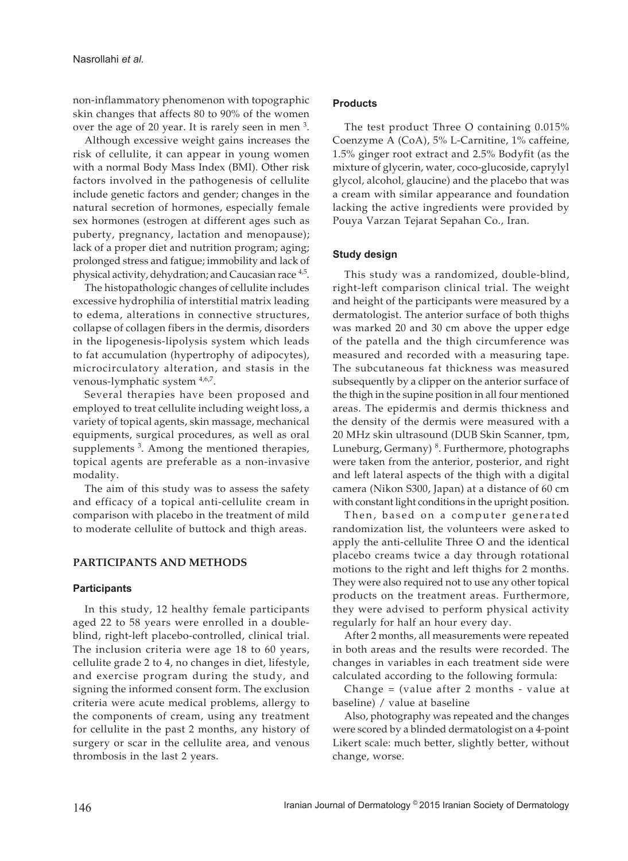non-inflammatory phenomenon with topographic skin changes that affects 80 to 90% of the women over the age of 20 year. It is rarely seen in men <sup>3</sup>.

Although excessive weight gains increases the risk of cellulite, it can appear in young women with a normal Body Mass Index (BMI). Other risk factors involved in the pathogenesis of cellulite include genetic factors and gender; changes in the natural secretion of hormones, especially female sex hormones (estrogen at different ages such as puberty, pregnancy, lactation and menopause); lack of a proper diet and nutrition program; aging; prolonged stress and fatigue; immobility and lack of physical activity, dehydration; and Caucasian race  $4.5$ .

The histopathologic changes of cellulite includes excessive hydrophilia of interstitial matrix leading to edema, alterations in connective structures, collapse of collagen fibers in the dermis, disorders in the lipogenesis-lipolysis system which leads to fat accumulation (hypertrophy of adipocytes), microcirculatory alteration, and stasis in the venous-lymphatic system  $4,6,7$ .

Several therapies have been proposed and employed to treat cellulite including weight loss, a variety of topical agents, skin massage, mechanical equipments, surgical procedures, as well as oral supplements<sup>3</sup>. Among the mentioned therapies, topical agents are preferable as a non-invasive modality.

The aim of this study was to assess the safety and efficacy of a topical anti-cellulite cream in comparison with placebo in the treatment of mild to moderate cellulite of buttock and thigh areas.

## **PARTICIPANTS AND METHODS**

## **Participants**

In this study, 12 healthy female participants aged 22 to 58 years were enrolled in a doubleblind, right-left placebo-controlled, clinical trial. The inclusion criteria were age 18 to 60 years, cellulite grade 2 to 4, no changes in diet, lifestyle, and exercise program during the study, and signing the informed consent form. The exclusion criteria were acute medical problems, allergy to the components of cream, using any treatment for cellulite in the past 2 months, any history of surgery or scar in the cellulite area, and venous thrombosis in the last 2 years.

## **Products**

The test product Three O containing 0.015% Coenzyme A (CoA), 5% L-Carnitine, 1% caffeine, 1.5% ginger root extract and 2.5% Bodyfit (as the mixture of glycerin, water, coco-glucoside, caprylyl glycol, alcohol, glaucine) and the placebo that was a cream with similar appearance and foundation lacking the active ingredients were provided by Pouya Varzan Tejarat Sepahan Co., Iran.

## **Study design**

This study was a randomized, double-blind, right-left comparison clinical trial. The weight and height of the participants were measured by a dermatologist. The anterior surface of both thighs was marked 20 and 30 cm above the upper edge of the patella and the thigh circumference was measured and recorded with a measuring tape. The subcutaneous fat thickness was measured subsequently by a clipper on the anterior surface of the thigh in the supine position in all four mentioned areas. The epidermis and dermis thickness and the density of the dermis were measured with a 20 MHz skin ultrasound (DUB Skin Scanner, tpm, Luneburg, Germany)<sup>8</sup>. Furthermore, photographs were taken from the anterior, posterior, and right and left lateral aspects of the thigh with a digital camera (Nikon S300, Japan) at a distance of 60 cm with constant light conditions in the upright position.

Then, based on a computer generated randomization list, the volunteers were asked to apply the anti-cellulite Three O and the identical placebo creams twice a day through rotational motions to the right and left thighs for 2 months. They were also required not to use any other topical products on the treatment areas. Furthermore, they were advised to perform physical activity regularly for half an hour every day.

After 2 months, all measurements were repeated in both areas and the results were recorded. The changes in variables in each treatment side were calculated according to the following formula:

Change = (value after 2 months - value at baseline) / value at baseline

Also, photography was repeated and the changes were scored by a blinded dermatologist on a 4-point Likert scale: much better, slightly better, without change, worse.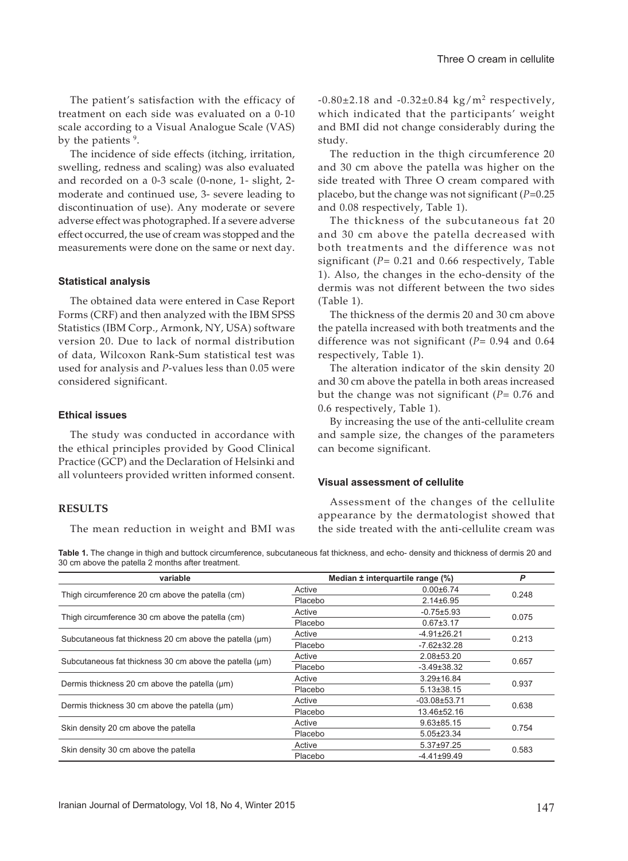The patient's satisfaction with the efficacy of treatment on each side was evaluated on a 0-10 scale according to a Visual Analogue Scale (VAS) by the patients <sup>9</sup>.

The incidence of side effects (itching, irritation, swelling, redness and scaling) was also evaluated and recorded on a 0-3 scale (0-none, 1- slight, 2 moderate and continued use, 3- severe leading to discontinuation of use). Any moderate or severe adverse effect was photographed. If a severe adverse effect occurred, the use of cream was stopped and the measurements were done on the same or next day.

## **Statistical analysis**

The obtained data were entered in Case Report Forms (CRF) and then analyzed with the IBM SPSS Statistics (IBM Corp., Armonk, NY, USA) software version 20. Due to lack of normal distribution of data, Wilcoxon Rank-Sum statistical test was used for analysis and *P*-values less than 0.05 were considered significant.

### **Ethical issues**

The study was conducted in accordance with the ethical principles provided by Good Clinical Practice (GCP) and the Declaration of Helsinki and all volunteers provided written informed consent.

### **RESULTS**

The mean reduction in weight and BMI was

 $-0.80\pm2.18$  and  $-0.32\pm0.84$  kg/m<sup>2</sup> respectively, which indicated that the participants' weight and BMI did not change considerably during the study.

The reduction in the thigh circumference 20 and 30 cm above the patella was higher on the side treated with Three O cream compared with placebo, but the change was not significant (*P*=0.25 and 0.08 respectively, Table 1).

The thickness of the subcutaneous fat 20 and 30 cm above the patella decreased with both treatments and the difference was not significant (*P*= 0.21 and 0.66 respectively, Table 1). Also, the changes in the echo-density of the dermis was not different between the two sides (Table 1).

The thickness of the dermis 20 and 30 cm above the patella increased with both treatments and the difference was not significant (*P*= 0.94 and 0.64 respectively, Table 1).

The alteration indicator of the skin density 20 and 30 cm above the patella in both areas increased but the change was not significant (*P*= 0.76 and 0.6 respectively, Table 1).

By increasing the use of the anti-cellulite cream and sample size, the changes of the parameters can become significant.

#### **Visual assessment of cellulite**

Assessment of the changes of the cellulite appearance by the dermatologist showed that the side treated with the anti-cellulite cream was

**Table 1.** The change in thigh and buttock circumference, subcutaneous fat thickness, and echo- density and thickness of dermis 20 and 30 cm above the patella 2 months after treatment.

| variable                                                     |         | Median ± interquartile range (%) | P     |
|--------------------------------------------------------------|---------|----------------------------------|-------|
| Thigh circumference 20 cm above the patella (cm)             | Active  | $0.00 \pm 6.74$                  | 0.248 |
|                                                              | Placebo | $2.14 \pm 6.95$                  |       |
| Thigh circumference 30 cm above the patella (cm)             | Active  | $-0.75 \pm 5.93$                 | 0.075 |
|                                                              | Placebo | $0.67 \pm 3.17$                  |       |
| Subcutaneous fat thickness 20 cm above the patella $(\mu m)$ | Active  | $-4.91 \pm 26.21$                | 0.213 |
|                                                              | Placebo | $-7.62 \pm 32.28$                |       |
| Subcutaneous fat thickness 30 cm above the patella (µm)      | Active  | 2.08±53.20                       | 0.657 |
|                                                              | Placebo | $-3.49 \pm 38.32$                |       |
| Dermis thickness 20 cm above the patella (um)                | Active  | $3.29 \pm 16.84$                 | 0.937 |
|                                                              | Placebo | $5.13 \pm 38.15$                 |       |
| Dermis thickness 30 cm above the patella (µm)                | Active  | $-03.08 \pm 53.71$               | 0.638 |
|                                                              | Placebo | 13.46±52.16                      |       |
| Skin density 20 cm above the patella                         | Active  | $9.63 \pm 85.15$                 | 0.754 |
|                                                              | Placebo | $5.05 \pm 23.34$                 |       |
| Skin density 30 cm above the patella                         | Active  | 5.37±97.25                       | 0.583 |
|                                                              | Placebo | $-4.41 \pm 99.49$                |       |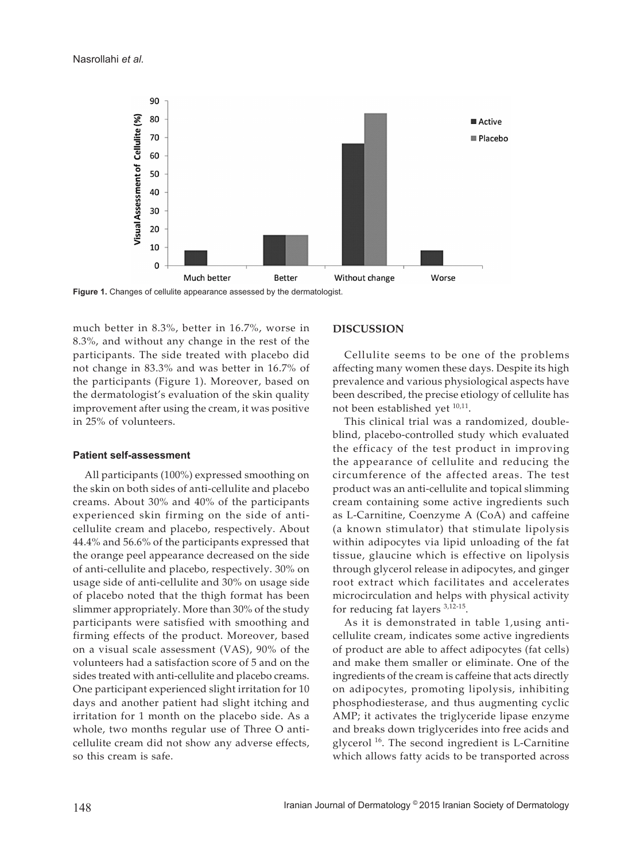

**Figure 1.** Changes of cellulite appearance assessed by the dermatologist.

much better in 8.3%, better in 16.7%, worse in 8.3%, and without any change in the rest of the participants. The side treated with placebo did not change in 83.3% and was better in 16.7% of the participants (Figure 1). Moreover, based on the dermatologist's evaluation of the skin quality improvement after using the cream, it was positive in 25% of volunteers.

#### **Patient self-assessment**

All participants (100%) expressed smoothing on the skin on both sides of anti-cellulite and placebo creams. About 30% and 40% of the participants experienced skin firming on the side of anticellulite cream and placebo, respectively. About 44.4% and 56.6% of the participants expressed that the orange peel appearance decreased on the side of anti-cellulite and placebo, respectively. 30% on usage side of anti-cellulite and 30% on usage side of placebo noted that the thigh format has been slimmer appropriately. More than 30% of the study participants were satisfied with smoothing and firming effects of the product. Moreover, based on a visual scale assessment (VAS), 90% of the volunteers had a satisfaction score of 5 and on the sides treated with anti-cellulite and placebo creams. One participant experienced slight irritation for 10 days and another patient had slight itching and irritation for 1 month on the placebo side. As a whole, two months regular use of Three O anticellulite cream did not show any adverse effects, so this cream is safe.

## **DISCUSSION**

Cellulite seems to be one of the problems affecting many women these days. Despite its high prevalence and various physiological aspects have been described, the precise etiology of cellulite has not been established yet  $^{10,11}$ .

This clinical trial was a randomized, doubleblind, placebo-controlled study which evaluated the efficacy of the test product in improving the appearance of cellulite and reducing the circumference of the affected areas. The test product was an anti-cellulite and topical slimming cream containing some active ingredients such as L-Carnitine, Coenzyme A (CoA) and caffeine (a known stimulator) that stimulate lipolysis within adipocytes via lipid unloading of the fat tissue, glaucine which is effective on lipolysis through glycerol release in adipocytes, and ginger root extract which facilitates and accelerates microcirculation and helps with physical activity for reducing fat layers 3,12-15.

As it is demonstrated in table 1,using anticellulite cream, indicates some active ingredients of product are able to affect adipocytes (fat cells) and make them smaller or eliminate. One of the ingredients of the cream is caffeine that acts directly on adipocytes, promoting lipolysis, inhibiting phosphodiesterase, and thus augmenting cyclic AMP; it activates the triglyceride lipase enzyme and breaks down triglycerides into free acids and glycerol  $16$ . The second ingredient is L-Carnitine which allows fatty acids to be transported across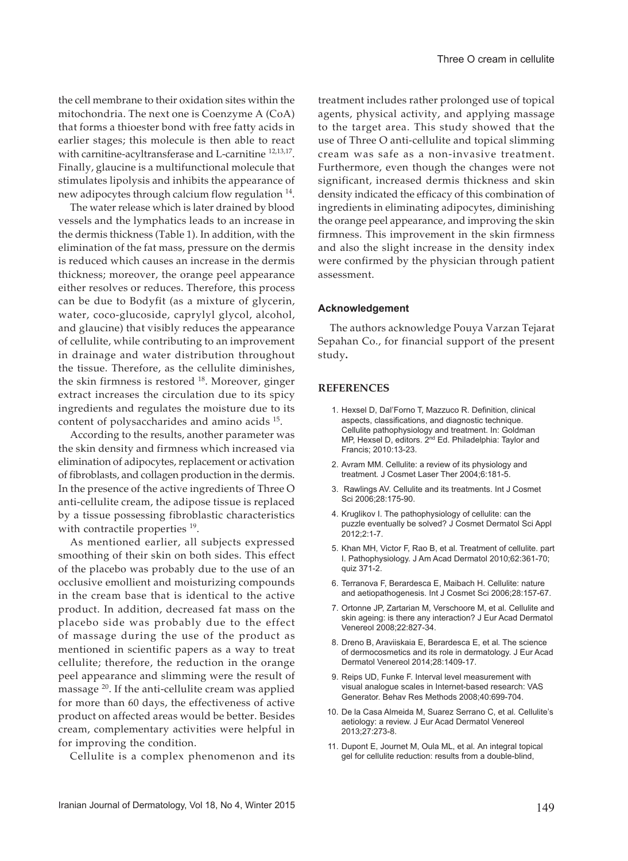the cell membrane to their oxidation sites within the mitochondria. The next one is Coenzyme A (CoA) that forms a thioester bond with free fatty acids in earlier stages; this molecule is then able to react with carnitine-acyltransferase and L-carnitine  $12,13,17$ . Finally, glaucine is a multifunctional molecule that stimulates lipolysis and inhibits the appearance of new adipocytes through calcium flow regulation <sup>14</sup>.

The water release which is later drained by blood vessels and the lymphatics leads to an increase in the dermis thickness (Table 1). In addition, with the elimination of the fat mass, pressure on the dermis is reduced which causes an increase in the dermis thickness; moreover, the orange peel appearance either resolves or reduces. Therefore, this process can be due to Bodyfit (as a mixture of glycerin, water, coco-glucoside, caprylyl glycol, alcohol, and glaucine) that visibly reduces the appearance of cellulite, while contributing to an improvement in drainage and water distribution throughout the tissue. Therefore, as the cellulite diminishes, the skin firmness is restored  $18$ . Moreover, ginger extract increases the circulation due to its spicy ingredients and regulates the moisture due to its content of polysaccharides and amino acids 15.

According to the results, another parameter was the skin density and firmness which increased via elimination of adipocytes, replacement or activation of fibroblasts, and collagen production in the dermis. In the presence of the active ingredients of Three O anti-cellulite cream, the adipose tissue is replaced by a tissue possessing fibroblastic characteristics with contractile properties <sup>19</sup>.

As mentioned earlier, all subjects expressed smoothing of their skin on both sides. This effect of the placebo was probably due to the use of an occlusive emollient and moisturizing compounds in the cream base that is identical to the active product. In addition, decreased fat mass on the placebo side was probably due to the effect of massage during the use of the product as mentioned in scientific papers as a way to treat cellulite; therefore, the reduction in the orange peel appearance and slimming were the result of massage 20. If the anti-cellulite cream was applied for more than 60 days, the effectiveness of active product on affected areas would be better. Besides cream, complementary activities were helpful in for improving the condition.

Cellulite is a complex phenomenon and its

treatment includes rather prolonged use of topical agents, physical activity, and applying massage to the target area. This study showed that the use of Three O anti-cellulite and topical slimming cream was safe as a non-invasive treatment. Furthermore, even though the changes were not significant, increased dermis thickness and skin density indicated the efficacy of this combination of ingredients in eliminating adipocytes, diminishing the orange peel appearance, and improving the skin firmness. This improvement in the skin firmness and also the slight increase in the density index were confirmed by the physician through patient assessment.

#### **Acknowledgement**

The authors acknowledge Pouya Varzan Tejarat Sepahan Co., for financial support of the present study**.**

#### **REFERENCES**

- 1. Hexsel D, Dal'Forno T, Mazzuco R. Definition, clinical aspects, classifications, and diagnostic technique. Cellulite pathophysiology and treatment. In: Goldman MP, Hexsel D, editors. 2nd Ed. Philadelphia: Taylor and Francis; 2010:13-23.
- 2. Avram MM. Cellulite: a review of its physiology and treatment*.* J Cosmet Laser Ther 2004;6:181-5.
- 3. Rawlings AV. Cellulite and its treatments. Int J Cosmet Sci 2006;28:175-90.
- 4. Kruglikov I. The pathophysiology of cellulite: can the puzzle eventually be solved? J Cosmet Dermatol Sci Appl 2012;2:1-7.
- 5. Khan MH, Victor F, Rao B, et al*.* Treatment of cellulite. part I. Pathophysiology. J Am Acad Dermatol 2010;62:361-70; quiz 371-2.
- 6. Terranova F, Berardesca E, Maibach H. Cellulite: nature and aetiopathogenesis. Int J Cosmet Sci 2006;28:157-67.
- 7. Ortonne JP, Zartarian M, Verschoore M, et al*.* Cellulite and skin ageing: is there any interaction? J Eur Acad Dermatol Venereol 2008;22:827-34.
- 8. Dreno B, Araviiskaia E, Berardesca E, et al*.* The science of dermocosmetics and its role in dermatology. J Eur Acad Dermatol Venereol 2014;28:1409-17.
- 9. Reips UD, Funke F. Interval level measurement with visual analogue scales in Internet-based research: VAS Generator. Behav Res Methods 2008;40:699-704.
- 10. De la Casa Almeida M, Suarez Serrano C, et al*.* Cellulite's aetiology: a review. J Eur Acad Dermatol Venereol 2013;27:273-8.
- 11. Dupont E, Journet M, Oula ML, et al*.* An integral topical gel for cellulite reduction: results from a double-blind,